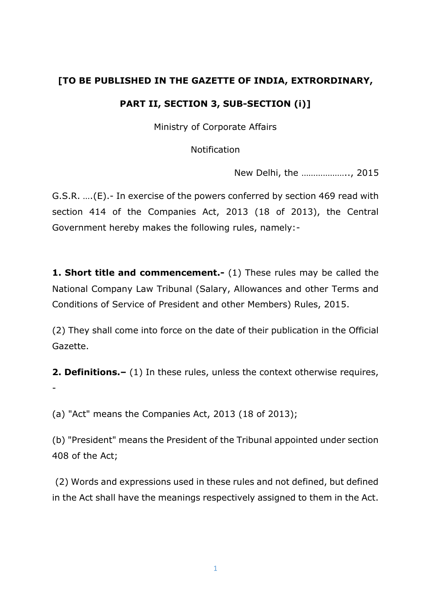### **[TO BE PUBLISHED IN THE GAZETTE OF INDIA, EXTRORDINARY,**

### **PART II, SECTION 3, SUB-SECTION (i)]**

Ministry of Corporate Affairs

Notification

New Delhi, the ……………….., 2015

G.S.R. ….(E).- In exercise of the powers conferred by section 469 read with section 414 of the Companies Act, 2013 (18 of 2013), the Central Government hereby makes the following rules, namely:-

**1. Short title and commencement.-** (1) These rules may be called the National Company Law Tribunal (Salary, Allowances and other Terms and Conditions of Service of President and other Members) Rules, 2015.

(2) They shall come into force on the date of their publication in the Official Gazette.

**2. Definitions.–** (1) In these rules, unless the context otherwise requires, -

(a) "Act" means the Companies Act, 2013 (18 of 2013);

(b) "President" means the President of the Tribunal appointed under section 408 of the Act;

(2) Words and expressions used in these rules and not defined, but defined in the Act shall have the meanings respectively assigned to them in the Act.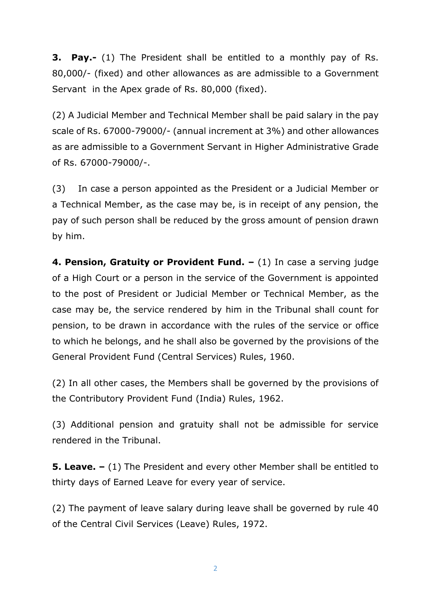**3. Pay.-** (1) The President shall be entitled to a monthly pay of Rs. 80,000/- (fixed) and other allowances as are admissible to a Government Servant in the Apex grade of Rs. 80,000 (fixed).

(2) A Judicial Member and Technical Member shall be paid salary in the pay scale of Rs. 67000-79000/- (annual increment at 3%) and other allowances as are admissible to a Government Servant in Higher Administrative Grade of Rs. 67000-79000/-.

(3) In case a person appointed as the President or a Judicial Member or a Technical Member, as the case may be, is in receipt of any pension, the pay of such person shall be reduced by the gross amount of pension drawn by him.

**4. Pension, Gratuity or Provident Fund. –** (1) In case a serving judge of a High Court or a person in the service of the Government is appointed to the post of President or Judicial Member or Technical Member, as the case may be, the service rendered by him in the Tribunal shall count for pension, to be drawn in accordance with the rules of the service or office to which he belongs, and he shall also be governed by the provisions of the General Provident Fund (Central Services) Rules, 1960.

(2) In all other cases, the Members shall be governed by the provisions of the Contributory Provident Fund (India) Rules, 1962.

(3) Additional pension and gratuity shall not be admissible for service rendered in the Tribunal.

**5. Leave. –** (1) The President and every other Member shall be entitled to thirty days of Earned Leave for every year of service.

(2) The payment of leave salary during leave shall be governed by rule 40 of the Central Civil Services (Leave) Rules, 1972.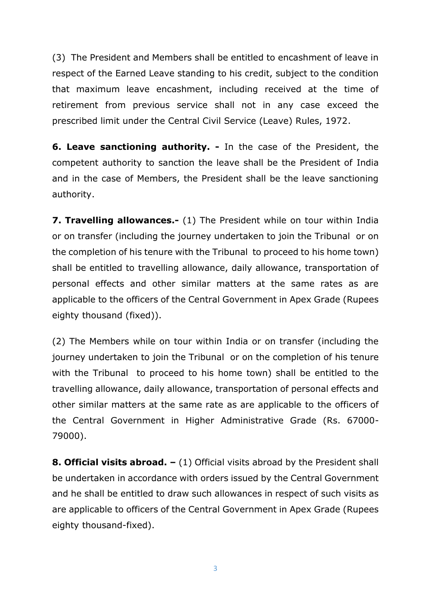(3) The President and Members shall be entitled to encashment of leave in respect of the Earned Leave standing to his credit, subject to the condition that maximum leave encashment, including received at the time of retirement from previous service shall not in any case exceed the prescribed limit under the Central Civil Service (Leave) Rules, 1972.

**6. Leave sanctioning authority. -** In the case of the President, the competent authority to sanction the leave shall be the President of India and in the case of Members, the President shall be the leave sanctioning authority.

**7. Travelling allowances.-** (1) The President while on tour within India or on transfer (including the journey undertaken to join the Tribunal or on the completion of his tenure with the Tribunal to proceed to his home town) shall be entitled to travelling allowance, daily allowance, transportation of personal effects and other similar matters at the same rates as are applicable to the officers of the Central Government in Apex Grade (Rupees eighty thousand (fixed)).

(2) The Members while on tour within India or on transfer (including the journey undertaken to join the Tribunal or on the completion of his tenure with the Tribunal to proceed to his home town) shall be entitled to the travelling allowance, daily allowance, transportation of personal effects and other similar matters at the same rate as are applicable to the officers of the Central Government in Higher Administrative Grade (Rs. 67000- 79000).

**8. Official visits abroad.** – (1) Official visits abroad by the President shall be undertaken in accordance with orders issued by the Central Government and he shall be entitled to draw such allowances in respect of such visits as are applicable to officers of the Central Government in Apex Grade (Rupees eighty thousand-fixed).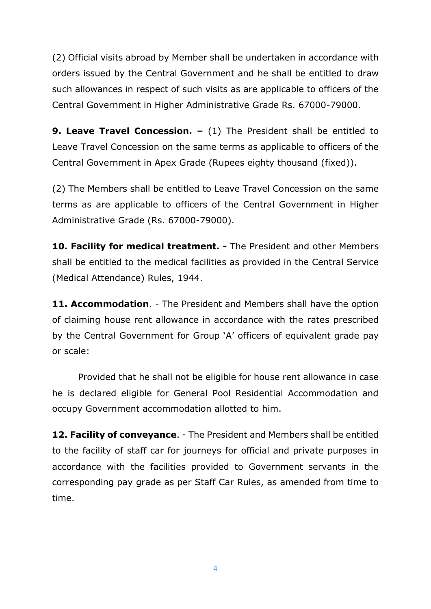(2) Official visits abroad by Member shall be undertaken in accordance with orders issued by the Central Government and he shall be entitled to draw such allowances in respect of such visits as are applicable to officers of the Central Government in Higher Administrative Grade Rs. 67000-79000.

**9. Leave Travel Concession. –** (1) The President shall be entitled to Leave Travel Concession on the same terms as applicable to officers of the Central Government in Apex Grade (Rupees eighty thousand (fixed)).

(2) The Members shall be entitled to Leave Travel Concession on the same terms as are applicable to officers of the Central Government in Higher Administrative Grade (Rs. 67000-79000).

**10. Facility for medical treatment. -** The President and other Members shall be entitled to the medical facilities as provided in the Central Service (Medical Attendance) Rules, 1944.

**11. Accommodation**. - The President and Members shall have the option of claiming house rent allowance in accordance with the rates prescribed by the Central Government for Group 'A' officers of equivalent grade pay or scale:

Provided that he shall not be eligible for house rent allowance in case he is declared eligible for General Pool Residential Accommodation and occupy Government accommodation allotted to him.

**12. Facility of conveyance**. - The President and Members shall be entitled to the facility of staff car for journeys for official and private purposes in accordance with the facilities provided to Government servants in the corresponding pay grade as per Staff Car Rules, as amended from time to time.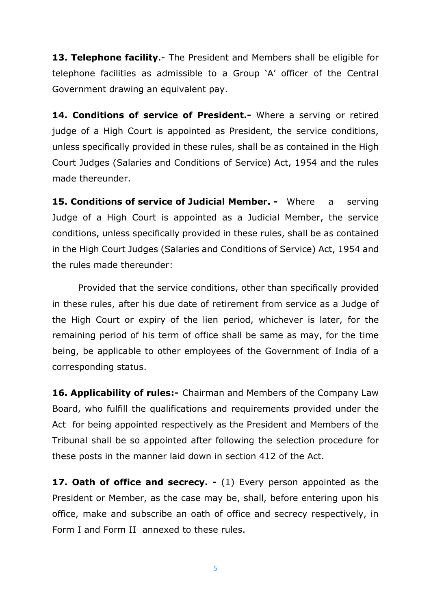**13. Telephone facility**.- The President and Members shall be eligible for telephone facilities as admissible to a Group 'A' officer of the Central Government drawing an equivalent pay.

**14. Conditions of service of President.-** Where a serving or retired judge of a High Court is appointed as President, the service conditions, unless specifically provided in these rules, shall be as contained in the High Court Judges (Salaries and Conditions of Service) Act, 1954 and the rules made thereunder.

**15. Conditions of service of Judicial Member. -** Where a serving Judge of a High Court is appointed as a Judicial Member, the service conditions, unless specifically provided in these rules, shall be as contained in the High Court Judges (Salaries and Conditions of Service) Act, 1954 and the rules made thereunder:

Provided that the service conditions, other than specifically provided in these rules, after his due date of retirement from service as a Judge of the High Court or expiry of the lien period, whichever is later, for the remaining period of his term of office shall be same as may, for the time being, be applicable to other employees of the Government of India of a corresponding status.

**16. Applicability of rules:-** Chairman and Members of the Company Law Board, who fulfill the qualifications and requirements provided under the Act for being appointed respectively as the President and Members of the Tribunal shall be so appointed after following the selection procedure for these posts in the manner laid down in section 412 of the Act.

**17. Oath of office and secrecy. -** (1) Every person appointed as the President or Member, as the case may be, shall, before entering upon his office, make and subscribe an oath of office and secrecy respectively, in [Form I](http://www.lexsite.com/userlogin/lexdoc.asp?DocId=360442#.1) and [Form II](http://www.lexsite.com/userlogin/lexdoc.asp?DocId=360442#.2) annexed to these rules.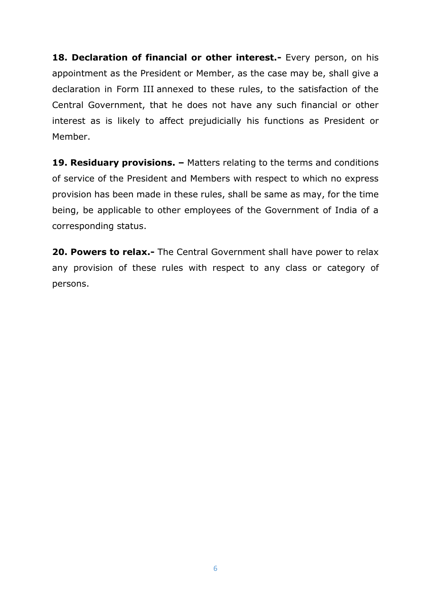**18. Declaration of financial or other interest.-** Every person, on his appointment as the President or Member, as the case may be, shall give a declaration in [Form III](http://www.lexsite.com/userlogin/lexdoc.asp?DocId=360442#.3) annexed to these rules, to the satisfaction of the Central Government, that he does not have any such financial or other interest as is likely to affect prejudicially his functions as President or Member.

**19. Residuary provisions. –** Matters relating to the terms and conditions of service of the President and Members with respect to which no express provision has been made in these rules, shall be same as may, for the time being, be applicable to other employees of the Government of India of a corresponding status.

**20. Powers to relax.-** The Central Government shall have power to relax any provision of these rules with respect to any class or category of persons.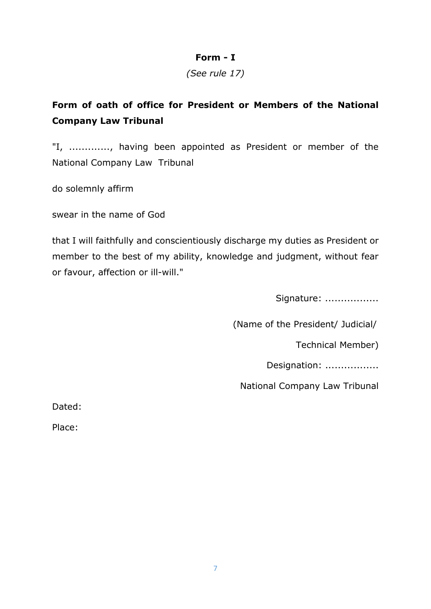#### **Form - I**

*(See rule 17)*

# **Form of oath of office for President or Members of the National Company Law Tribunal**

"I, ............., having been appointed as President or member of the National Company Law Tribunal

do solemnly affirm

swear in the name of God

that I will faithfully and conscientiously discharge my duties as President or member to the best of my ability, knowledge and judgment, without fear or favour, affection or ill-will."

Signature: ..................

(Name of the President/ Judicial/

Technical Member)

Designation: .................

National Company Law Tribunal

Dated:

Place: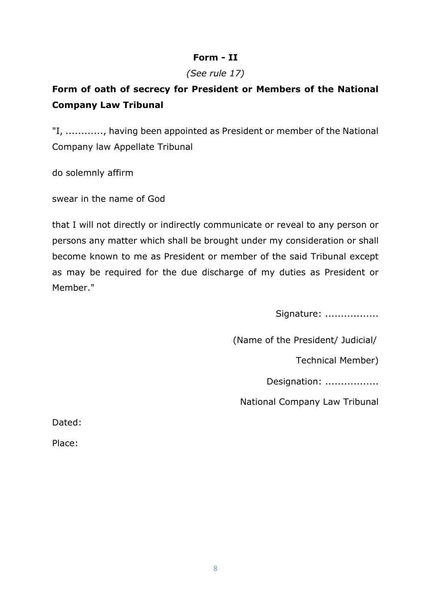### **Form - II**

#### *(See rule 17)*

# **Form of oath of secrecy for President or Members of the National Company Law Tribunal**

"I, ............, having been appointed as President or member of the National Company law Appellate Tribunal

do solemnly affirm

swear in the name of God

that I will not directly or indirectly communicate or reveal to any person or persons any matter which shall be brought under my consideration or shall become known to me as President or member of the said Tribunal except as may be required for the due discharge of my duties as President or Member."

Signature: ..................

(Name of the President/ Judicial/

Technical Member)

Designation: .................

National Company Law Tribunal

Dated:

Place: